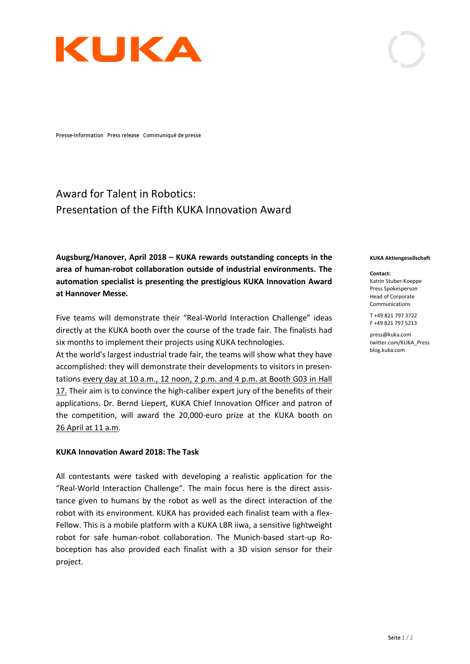

Presse-Information Press release Communiqué de presse

## Award for Talent in Robotics: Presentation of the Fifth KUKA Innovation Award

**Augsburg/Hanover, April 2018 – KUKA rewards outstanding concepts in the area of human-robot collaboration outside of industrial environments. The automation specialist is presenting the prestigious KUKA Innovation Award at Hannover Messe.**

Five teams will demonstrate their "Real-World Interaction Challenge" ideas directly at the KUKA booth over the course of the trade fair. The finalists had six months to implement their projects using KUKA technologies.

At the world's largest industrial trade fair, the teams will show what they have accomplished: they will demonstrate their developments to visitors in presentations every day at 10 a.m., 12 noon, 2 p.m. and 4 p.m. at Booth G03 in Hall 17. Their aim is to convince the high-caliber expert jury of the benefits of their applications. Dr. Bernd Liepert, KUKA Chief Innovation Officer and patron of the competition, will award the 20,000-euro prize at the KUKA booth on 26 April at 11 a.m.

## **KUKA Innovation Award 2018: The Task**

All contestants were tasked with developing a realistic application for the "Real-World Interaction Challenge". The main focus here is the direct assistance given to humans by the robot as well as the direct interaction of the robot with its environment. KUKA has provided each finalist team with a flex-Fellow. This is a mobile platform with a KUKA LBR iiwa, a sensitive lightweight robot for safe human-robot collaboration. The Munich-based start-up Roboception has also provided each finalist with a 3D vision sensor for their project.

## **KUKA Aktiengesellschaft**

**Contact:** Katrin Stuber-Koeppe Press Spokesperson Head of Corporate Communications

T +49 821 797 3722 F +49 821 797 5213

press@kuka.com twitter.com/KUKA\_Press blog.kuka.com